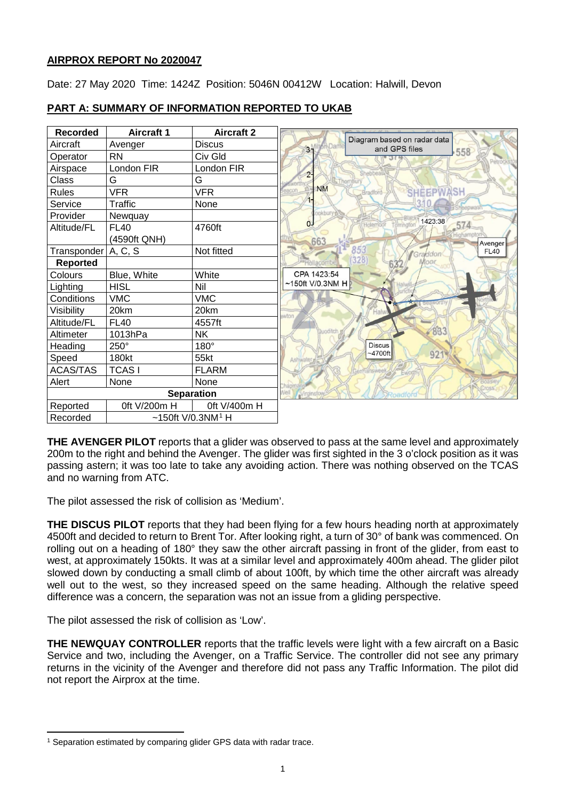# **AIRPROX REPORT No 2020047**

Date: 27 May 2020 Time: 1424Z Position: 5046N 00412W Location: Halwill, Devon

| <b>Recorded</b>       | <b>Aircraft 1</b> | <b>Aircraft 2</b>                |                                                    |
|-----------------------|-------------------|----------------------------------|----------------------------------------------------|
| Aircraft              | Avenger           | <b>Discus</b>                    | Diagram based on radar data<br>34<br>and GPS files |
| Operator              | <b>RN</b>         | Civ Gld                          | 558                                                |
| Airspace              | London FIR        | London FIR                       |                                                    |
| Class                 | G                 | G                                | $2 -$<br><b>S</b> Thombury                         |
| <b>Rules</b>          | <b>VFR</b>        | <b>VFR</b>                       | <b>NM</b><br><b>SHEEPWASH</b><br>Bradford          |
| Service               | Traffic           | None                             |                                                    |
| Provider              | Newquay           |                                  | ookbun<br>1423:38                                  |
| Altitude/FL           | <b>FL40</b>       | 4760ft                           | $\sigma$<br>574<br>Torringto                       |
|                       | (4590ft QNH)      |                                  | 663<br>Avenger                                     |
| Transponder   A, C, S |                   | Not fitted                       | 853<br><b>FL40</b><br>Graddon                      |
| <b>Reported</b>       |                   |                                  | (328)                                              |
| Colours               | Blue, White       | White                            | CPA 1423:54                                        |
| Lighting              | <b>HISL</b>       | Nil                              | $~150$ ft V/0.3NM H                                |
| Conditions            | <b>VMC</b>        | <b>VMC</b>                       |                                                    |
| Visibility            | 20km              | 20km                             | Hal<br>awton                                       |
| Altitude/FL           | <b>FL40</b>       | 4557ft                           |                                                    |
| Altimeter             | 1013hPa           | <b>NK</b>                        | 83.<br>uodil                                       |
| Heading               | 250°              | 180°                             | <b>Discus</b>                                      |
| Speed                 | 180kt             | 55kt                             | 921<br>$~1700$ ft                                  |
| <b>ACAS/TAS</b>       | <b>TCASI</b>      | <b>FLARM</b>                     |                                                    |
| Alert                 | None              | None                             |                                                    |
|                       |                   | <b>Separation</b>                | <b>Cross</b>                                       |
| Reported              | 0ft V/200m H      | 0ft V/400m H                     |                                                    |
| Recorded              |                   | ~150ft $V$ /0.3NM <sup>1</sup> H |                                                    |

# **PART A: SUMMARY OF INFORMATION REPORTED TO UKAB**

**THE AVENGER PILOT** reports that a glider was observed to pass at the same level and approximately 200m to the right and behind the Avenger. The glider was first sighted in the 3 o'clock position as it was passing astern; it was too late to take any avoiding action. There was nothing observed on the TCAS and no warning from ATC.

The pilot assessed the risk of collision as 'Medium'.

**THE DISCUS PILOT** reports that they had been flying for a few hours heading north at approximately 4500ft and decided to return to Brent Tor. After looking right, a turn of 30° of bank was commenced. On rolling out on a heading of 180° they saw the other aircraft passing in front of the glider, from east to west, at approximately 150kts. It was at a similar level and approximately 400m ahead. The glider pilot slowed down by conducting a small climb of about 100ft, by which time the other aircraft was already well out to the west, so they increased speed on the same heading. Although the relative speed difference was a concern, the separation was not an issue from a gliding perspective.

The pilot assessed the risk of collision as 'Low'.

l

**THE NEWQUAY CONTROLLER** reports that the traffic levels were light with a few aircraft on a Basic Service and two, including the Avenger, on a Traffic Service. The controller did not see any primary returns in the vicinity of the Avenger and therefore did not pass any Traffic Information. The pilot did not report the Airprox at the time.

<span id="page-0-0"></span><sup>&</sup>lt;sup>1</sup> Separation estimated by comparing glider GPS data with radar trace.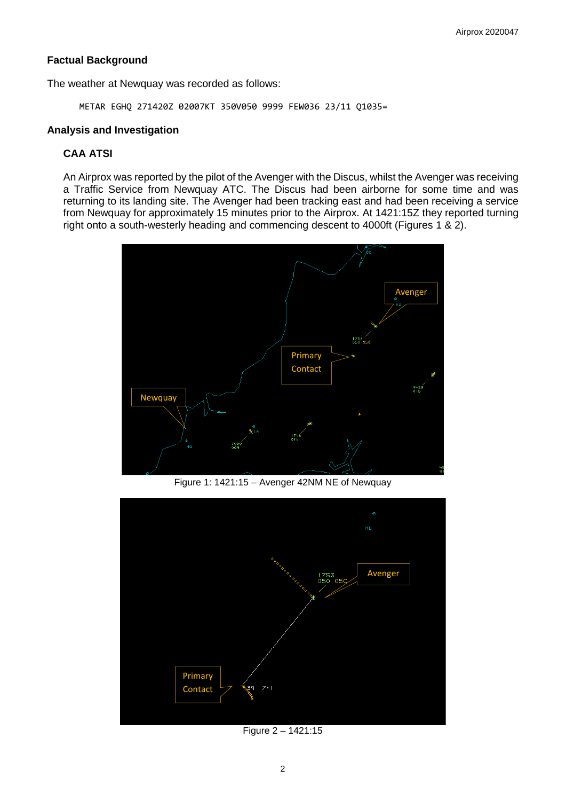# **Factual Background**

The weather at Newquay was recorded as follows:

METAR EGHQ 271420Z 02007KT 350V050 9999 FEW036 23/11 Q1035=

### **Analysis and Investigation**

# **CAA ATSI**

An Airprox was reported by the pilot of the Avenger with the Discus, whilst the Avenger was receiving a Traffic Service from Newquay ATC. The Discus had been airborne for some time and was returning to its landing site. The Avenger had been tracking east and had been receiving a service from Newquay for approximately 15 minutes prior to the Airprox. At 1421:15Z they reported turning right onto a south-westerly heading and commencing descent to 4000ft (Figures 1 & 2).



Figure 1: 1421:15 – Avenger 42NM NE of Newquay



Figure 2 – 1421:15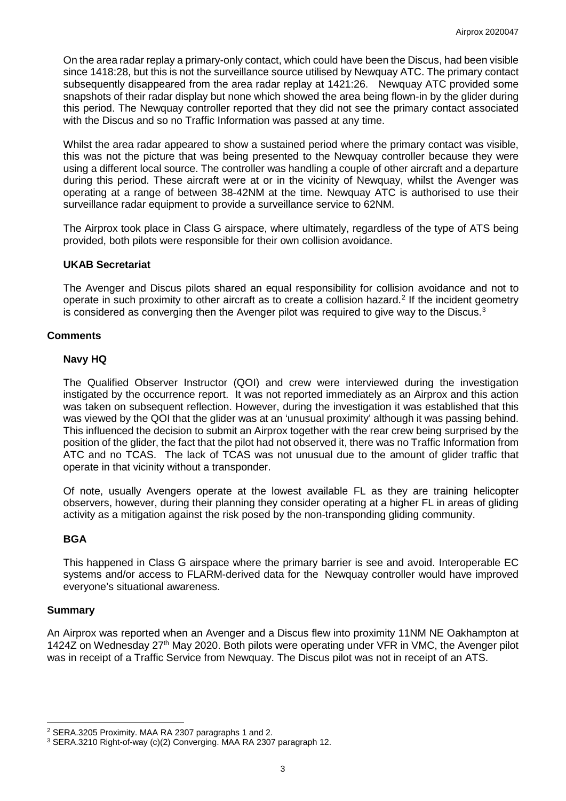On the area radar replay a primary-only contact, which could have been the Discus, had been visible since 1418:28, but this is not the surveillance source utilised by Newquay ATC. The primary contact subsequently disappeared from the area radar replay at 1421:26. Newquay ATC provided some snapshots of their radar display but none which showed the area being flown-in by the glider during this period. The Newquay controller reported that they did not see the primary contact associated with the Discus and so no Traffic Information was passed at any time.

Whilst the area radar appeared to show a sustained period where the primary contact was visible, this was not the picture that was being presented to the Newquay controller because they were using a different local source. The controller was handling a couple of other aircraft and a departure during this period. These aircraft were at or in the vicinity of Newquay, whilst the Avenger was operating at a range of between 38-42NM at the time. Newquay ATC is authorised to use their surveillance radar equipment to provide a surveillance service to 62NM.

The Airprox took place in Class G airspace, where ultimately, regardless of the type of ATS being provided, both pilots were responsible for their own collision avoidance.

## **UKAB Secretariat**

The Avenger and Discus pilots shared an equal responsibility for collision avoidance and not to operate in such proximity to other aircraft as to create a collision hazard.<sup>[2](#page-2-0)</sup> If the incident geometry is considered as converging then the Avenger pilot was required to give way to the Discus. $^3$  $^3$ 

## **Comments**

## **Navy HQ**

The Qualified Observer Instructor (QOI) and crew were interviewed during the investigation instigated by the occurrence report. It was not reported immediately as an Airprox and this action was taken on subsequent reflection. However, during the investigation it was established that this was viewed by the QOI that the glider was at an 'unusual proximity' although it was passing behind. This influenced the decision to submit an Airprox together with the rear crew being surprised by the position of the glider, the fact that the pilot had not observed it, there was no Traffic Information from ATC and no TCAS. The lack of TCAS was not unusual due to the amount of glider traffic that operate in that vicinity without a transponder.

Of note, usually Avengers operate at the lowest available FL as they are training helicopter observers, however, during their planning they consider operating at a higher FL in areas of gliding activity as a mitigation against the risk posed by the non-transponding gliding community.

# **BGA**

This happened in Class G airspace where the primary barrier is see and avoid. Interoperable EC systems and/or access to FLARM-derived data for the Newquay controller would have improved everyone's situational awareness.

#### **Summary**

 $\overline{\phantom{a}}$ 

An Airprox was reported when an Avenger and a Discus flew into proximity 11NM NE Oakhampton at 1424Z on Wednesday 27<sup>th</sup> May 2020. Both pilots were operating under VFR in VMC, the Avenger pilot was in receipt of a Traffic Service from Newquay. The Discus pilot was not in receipt of an ATS.

<span id="page-2-0"></span><sup>2</sup> SERA.3205 Proximity. MAA RA 2307 paragraphs 1 and 2.

<span id="page-2-1"></span><sup>3</sup> SERA.3210 Right-of-way (c)(2) Converging. MAA RA 2307 paragraph 12.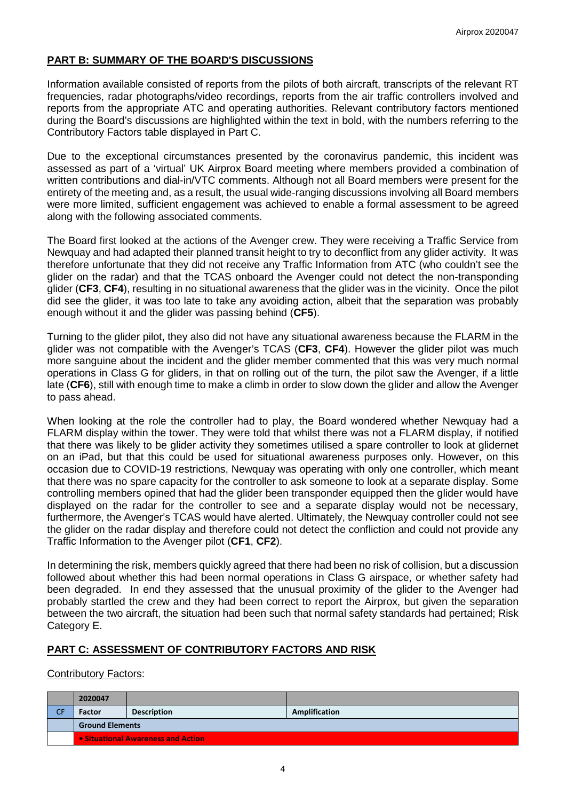# **PART B: SUMMARY OF THE BOARD'S DISCUSSIONS**

Information available consisted of reports from the pilots of both aircraft, transcripts of the relevant RT frequencies, radar photographs/video recordings, reports from the air traffic controllers involved and reports from the appropriate ATC and operating authorities. Relevant contributory factors mentioned during the Board's discussions are highlighted within the text in bold, with the numbers referring to the Contributory Factors table displayed in Part C.

Due to the exceptional circumstances presented by the coronavirus pandemic, this incident was assessed as part of a 'virtual' UK Airprox Board meeting where members provided a combination of written contributions and dial-in/VTC comments. Although not all Board members were present for the entirety of the meeting and, as a result, the usual wide-ranging discussions involving all Board members were more limited, sufficient engagement was achieved to enable a formal assessment to be agreed along with the following associated comments.

The Board first looked at the actions of the Avenger crew. They were receiving a Traffic Service from Newquay and had adapted their planned transit height to try to deconflict from any glider activity. It was therefore unfortunate that they did not receive any Traffic Information from ATC (who couldn't see the glider on the radar) and that the TCAS onboard the Avenger could not detect the non-transponding glider (**CF3**, **CF4**), resulting in no situational awareness that the glider was in the vicinity. Once the pilot did see the glider, it was too late to take any avoiding action, albeit that the separation was probably enough without it and the glider was passing behind (**CF5**).

Turning to the glider pilot, they also did not have any situational awareness because the FLARM in the glider was not compatible with the Avenger's TCAS (**CF3**, **CF4**). However the glider pilot was much more sanguine about the incident and the glider member commented that this was very much normal operations in Class G for gliders, in that on rolling out of the turn, the pilot saw the Avenger, if a little late (**CF6**), still with enough time to make a climb in order to slow down the glider and allow the Avenger to pass ahead.

When looking at the role the controller had to play, the Board wondered whether Newquay had a FLARM display within the tower. They were told that whilst there was not a FLARM display, if notified that there was likely to be glider activity they sometimes utilised a spare controller to look at glidernet on an iPad, but that this could be used for situational awareness purposes only. However, on this occasion due to COVID-19 restrictions, Newquay was operating with only one controller, which meant that there was no spare capacity for the controller to ask someone to look at a separate display. Some controlling members opined that had the glider been transponder equipped then the glider would have displayed on the radar for the controller to see and a separate display would not be necessary, furthermore, the Avenger's TCAS would have alerted. Ultimately, the Newquay controller could not see the glider on the radar display and therefore could not detect the confliction and could not provide any Traffic Information to the Avenger pilot (**CF1**, **CF2**).

In determining the risk, members quickly agreed that there had been no risk of collision, but a discussion followed about whether this had been normal operations in Class G airspace, or whether safety had been degraded. In end they assessed that the unusual proximity of the glider to the Avenger had probably startled the crew and they had been correct to report the Airprox, but given the separation between the two aircraft, the situation had been such that normal safety standards had pertained; Risk Category E.

# **PART C: ASSESSMENT OF CONTRIBUTORY FACTORS AND RISK**

#### Contributory Factors:

|    | 2020047                            |                    |               |  |  |
|----|------------------------------------|--------------------|---------------|--|--|
| СF | Factor                             | <b>Description</b> | Amplification |  |  |
|    | <b>Ground Elements</b>             |                    |               |  |  |
|    | • Situational Awareness and Action |                    |               |  |  |